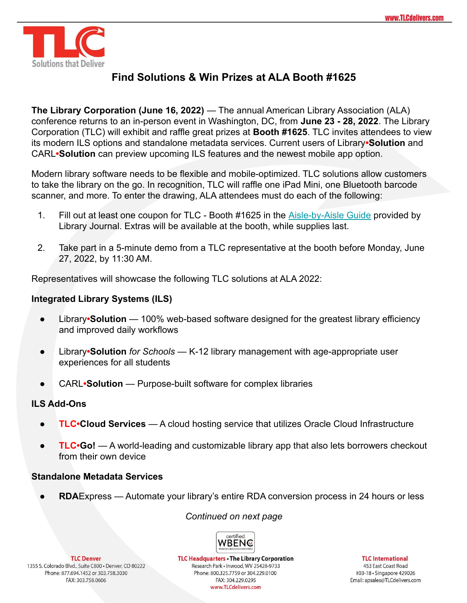

# **Find Solutions & Win Prizes at ALA Booth #1625**

**The Library Corporation (June 16, 2022)** — The annual American Library Association (ALA) conference returns to an in-person event in Washington, DC, from **June 23 - 28, 2022**. The Library Corporation (TLC) will exhibit and raffle great prizes at **Booth #1625**. TLC invites attendees to view its modern ILS options and standalone metadata services. Current users of Library**•Solution** and CARL**•Solution** can preview upcoming ILS features and the newest mobile app option.

Modern library software needs to be flexible and mobile-optimized. TLC solutions allow customers to take the library on the go. In recognition, TLC will raffle one iPad Mini, one Bluetooth barcode scanner, and more. To enter the drawing, ALA attendees must do each of the following:

- 1. Fill out at least one coupon for TLC Booth #1625 in the [Aisle-by-Aisle Guide](https://www.libraryjournal.com/story/aisle-by-aisle-exhibitor-guide--coupon-booklet-2022) provided by Library Journal. Extras will be available at the booth, while supplies last.
- 2. Take part in a 5-minute demo from a TLC representative at the booth before Monday, June 27, 2022, by 11:30 AM.

Representatives will showcase the following TLC solutions at ALA 2022:

# **Integrated Library Systems (ILS)**

- Library**•Solution** 100% web-based software designed for the greatest library efficiency and improved daily workflows
- Library**•Solution** *for Schools* K-12 library management with age-appropriate user experiences for all students
- CARL•Solution Purpose-built software for complex libraries

# **ILS Add-Ons**

- **TLC•Cloud Services** A cloud hosting service that utilizes Oracle Cloud Infrastructure
- **TLC•Go!** A world-leading and customizable library app that also lets borrowers checkout from their own device

# **Standalone Metadata Services**

● **RDA**Express — Automate your library's entire RDA conversion process in 24 hours or less

# *Continued on next page*



**TLC Denver** 1355 S. Colorado Blvd., Suite C800 · Denver, CO 80222 Phone: 877.694.1452 or 303.758.3030 FAX: 303.758.0606

**TLC Headquarters . The Library Corporation** Research Park · Inwood, WV 25428-9733 Phone: 800.325.7759 or 304.229.0100 FAX: 304.229.0295 www.TLCdelivers.com

**TLC** International

453 East Coast Road #03-18 · Singapore 429026 Email: apsales@TLCdelivers.com